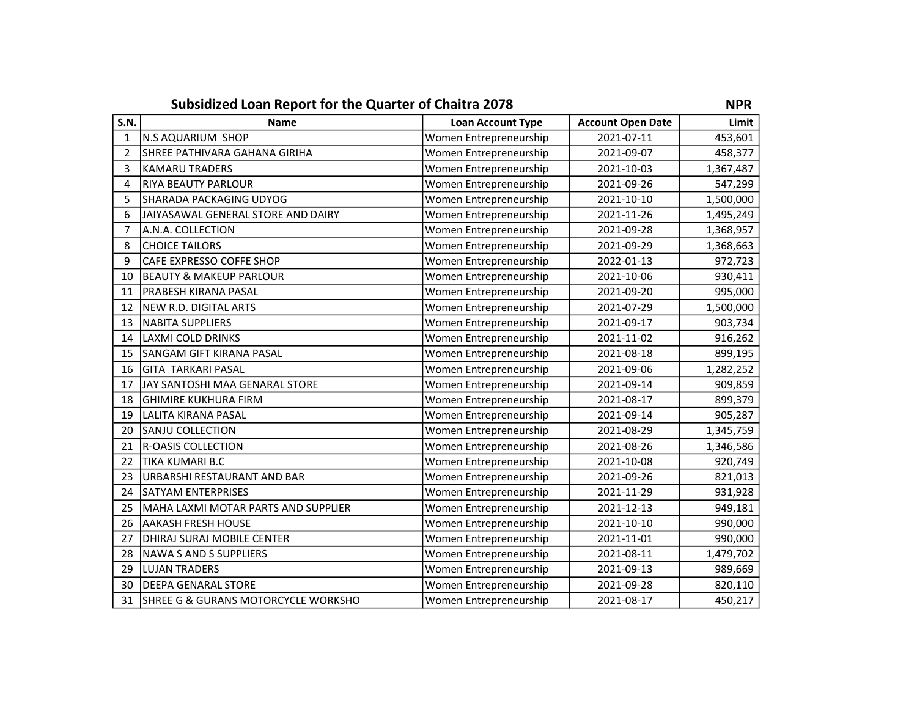|              | Subsidized Loan Report for the Quarter of Chaitra 2078 |                          |                          |           |  |
|--------------|--------------------------------------------------------|--------------------------|--------------------------|-----------|--|
| <b>S.N.</b>  | <b>Name</b>                                            | <b>Loan Account Type</b> | <b>Account Open Date</b> | Limit     |  |
| $\mathbf{1}$ | <b>N.S AQUARIUM SHOP</b>                               | Women Entrepreneurship   | 2021-07-11               | 453,601   |  |
| 2            | SHREE PATHIVARA GAHANA GIRIHA                          | Women Entrepreneurship   | 2021-09-07               | 458,377   |  |
| 3            | <b>KAMARU TRADERS</b>                                  | Women Entrepreneurship   | 2021-10-03               | 1,367,487 |  |
| 4            | <b>RIYA BEAUTY PARLOUR</b>                             | Women Entrepreneurship   | 2021-09-26               | 547,299   |  |
| 5            | SHARADA PACKAGING UDYOG                                | Women Entrepreneurship   | 2021-10-10               | 1,500,000 |  |
| 6            | JAIYASAWAL GENERAL STORE AND DAIRY                     | Women Entrepreneurship   | 2021-11-26               | 1,495,249 |  |
| 7            | A.N.A. COLLECTION                                      | Women Entrepreneurship   | 2021-09-28               | 1,368,957 |  |
| 8            | <b>CHOICE TAILORS</b>                                  | Women Entrepreneurship   | 2021-09-29               | 1,368,663 |  |
| 9            | CAFE EXPRESSO COFFE SHOP                               | Women Entrepreneurship   | 2022-01-13               | 972,723   |  |
| 10           | BEAUTY & MAKEUP PARLOUR                                | Women Entrepreneurship   | 2021-10-06               | 930,411   |  |
| 11           | PRABESH KIRANA PASAL                                   | Women Entrepreneurship   | 2021-09-20               | 995,000   |  |
| 12           | NEW R.D. DIGITAL ARTS                                  | Women Entrepreneurship   | 2021-07-29               | 1,500,000 |  |
| 13           | NABITA SUPPLIERS                                       | Women Entrepreneurship   | 2021-09-17               | 903,734   |  |
| 14           | <b>LAXMI COLD DRINKS</b>                               | Women Entrepreneurship   | 2021-11-02               | 916,262   |  |
| 15           | SANGAM GIFT KIRANA PASAL                               | Women Entrepreneurship   | 2021-08-18               | 899,195   |  |
| 16           | GITA TARKARI PASAL                                     | Women Entrepreneurship   | 2021-09-06               | 1,282,252 |  |
| 17           | JAY SANTOSHI MAA GENARAL STORE                         | Women Entrepreneurship   | 2021-09-14               | 909,859   |  |
| 18           | <b>GHIMIRE KUKHURA FIRM</b>                            | Women Entrepreneurship   | 2021-08-17               | 899,379   |  |
| 19           | LALITA KIRANA PASAL                                    | Women Entrepreneurship   | 2021-09-14               | 905,287   |  |
| 20           | <b>SANJU COLLECTION</b>                                | Women Entrepreneurship   | 2021-08-29               | 1,345,759 |  |
| 21           | <b>IR-OASIS COLLECTION</b>                             | Women Entrepreneurship   | 2021-08-26               | 1,346,586 |  |
| 22           | TIKA KUMARI B.C                                        | Women Entrepreneurship   | 2021-10-08               | 920,749   |  |
| 23           | URBARSHI RESTAURANT AND BAR                            | Women Entrepreneurship   | 2021-09-26               | 821,013   |  |
| 24           | SATYAM ENTERPRISES                                     | Women Entrepreneurship   | 2021-11-29               | 931,928   |  |
| 25           | MAHA LAXMI MOTAR PARTS AND SUPPLIER                    | Women Entrepreneurship   | 2021-12-13               | 949,181   |  |
| 26           | <b>AAKASH FRESH HOUSE</b>                              | Women Entrepreneurship   | 2021-10-10               | 990,000   |  |
| 27           | DHIRAJ SURAJ MOBILE CENTER                             | Women Entrepreneurship   | 2021-11-01               | 990,000   |  |
| 28           | <b>NAWA S AND S SUPPLIERS</b>                          | Women Entrepreneurship   | 2021-08-11               | 1,479,702 |  |
| 29           | <b>LUJAN TRADERS</b>                                   | Women Entrepreneurship   | 2021-09-13               | 989,669   |  |
| 30           | lDEEPA GENARAL STORE                                   | Women Entrepreneurship   | 2021-09-28               | 820,110   |  |
| 31           | <b>SHREE G &amp; GURANS MOTORCYCLE WORKSHO</b>         | Women Entrepreneurship   | 2021-08-17               | 450,217   |  |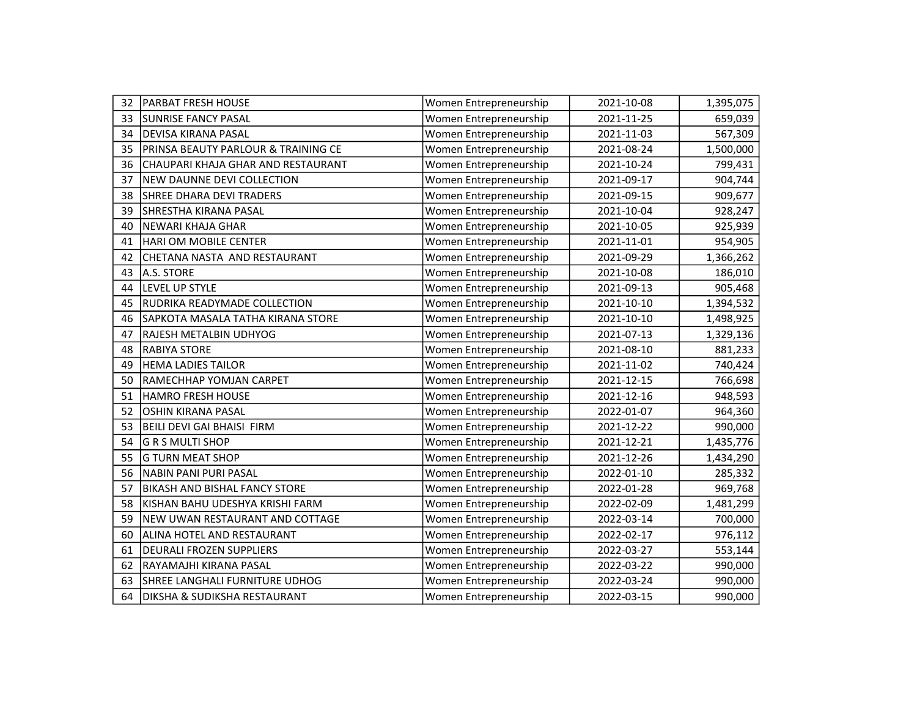| 32 | PARBAT FRESH HOUSE                   | Women Entrepreneurship | 2021-10-08 | 1,395,075 |
|----|--------------------------------------|------------------------|------------|-----------|
| 33 | SUNRISE FANCY PASAL                  | Women Entrepreneurship | 2021-11-25 | 659,039   |
| 34 | <b>DEVISA KIRANA PASAL</b>           | Women Entrepreneurship | 2021-11-03 | 567,309   |
| 35 | PRINSA BEAUTY PARLOUR & TRAINING CE  | Women Entrepreneurship | 2021-08-24 | 1,500,000 |
| 36 | CHAUPARI KHAJA GHAR AND RESTAURANT   | Women Entrepreneurship | 2021-10-24 | 799,431   |
| 37 | NEW DAUNNE DEVI COLLECTION           | Women Entrepreneurship | 2021-09-17 | 904,744   |
| 38 | SHREE DHARA DEVI TRADERS             | Women Entrepreneurship | 2021-09-15 | 909,677   |
| 39 | SHRESTHA KIRANA PASAL                | Women Entrepreneurship | 2021-10-04 | 928,247   |
| 40 | <b>NEWARI KHAJA GHAR</b>             | Women Entrepreneurship | 2021-10-05 | 925,939   |
| 41 | HARI OM MOBILE CENTER                | Women Entrepreneurship | 2021-11-01 | 954,905   |
| 42 | CHETANA NASTA AND RESTAURANT         | Women Entrepreneurship | 2021-09-29 | 1,366,262 |
| 43 | A.S. STORE                           | Women Entrepreneurship | 2021-10-08 | 186,010   |
| 44 | LEVEL UP STYLE                       | Women Entrepreneurship | 2021-09-13 | 905,468   |
| 45 | RUDRIKA READYMADE COLLECTION         | Women Entrepreneurship | 2021-10-10 | 1,394,532 |
| 46 | SAPKOTA MASALA TATHA KIRANA STORE    | Women Entrepreneurship | 2021-10-10 | 1,498,925 |
| 47 | RAJESH METALBIN UDHYOG               | Women Entrepreneurship | 2021-07-13 | 1,329,136 |
| 48 | <b>RABIYA STORE</b>                  | Women Entrepreneurship | 2021-08-10 | 881,233   |
| 49 | <b>HEMA LADIES TAILOR</b>            | Women Entrepreneurship | 2021-11-02 | 740,424   |
| 50 | RAMECHHAP YOMJAN CARPET              | Women Entrepreneurship | 2021-12-15 | 766,698   |
| 51 | <b>HAMRO FRESH HOUSE</b>             | Women Entrepreneurship | 2021-12-16 | 948,593   |
| 52 | <b>OSHIN KIRANA PASAL</b>            | Women Entrepreneurship | 2022-01-07 | 964,360   |
| 53 | BEILI DEVI GAI BHAISI FIRM           | Women Entrepreneurship | 2021-12-22 | 990,000   |
| 54 | lG R S MULTI SHOP                    | Women Entrepreneurship | 2021-12-21 | 1,435,776 |
| 55 | <b>G TURN MEAT SHOP</b>              | Women Entrepreneurship | 2021-12-26 | 1,434,290 |
| 56 | <b>NABIN PANI PURI PASAL</b>         | Women Entrepreneurship | 2022-01-10 | 285,332   |
| 57 | <b>BIKASH AND BISHAL FANCY STORE</b> | Women Entrepreneurship | 2022-01-28 | 969,768   |
| 58 | KISHAN BAHU UDESHYA KRISHI FARM      | Women Entrepreneurship | 2022-02-09 | 1,481,299 |
| 59 | NEW UWAN RESTAURANT AND COTTAGE      | Women Entrepreneurship | 2022-03-14 | 700,000   |
| 60 | ALINA HOTEL AND RESTAURANT           | Women Entrepreneurship | 2022-02-17 | 976,112   |
| 61 | <b>DEURALI FROZEN SUPPLIERS</b>      | Women Entrepreneurship | 2022-03-27 | 553,144   |
| 62 | RAYAMAJHI KIRANA PASAL               | Women Entrepreneurship | 2022-03-22 | 990,000   |
| 63 | SHREE LANGHALI FURNITURE UDHOG       | Women Entrepreneurship | 2022-03-24 | 990,000   |
| 64 | DIKSHA & SUDIKSHA RESTAURANT         | Women Entrepreneurship | 2022-03-15 | 990,000   |